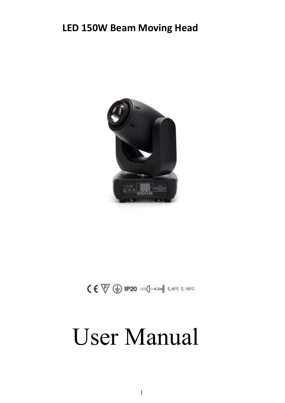### **LED 150W Beam Moving Head**



 $\zeta \in \overline{\nabla} \bigoplus$  IP20  $\text{tr} \bigoplus$   $\text{Im} \{-0.2m\}$  t.40°C t.150°C

# User Manual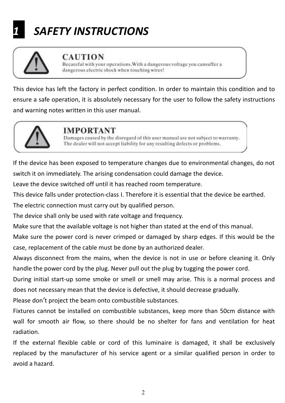# *1 SAFETY INSTRUCTIONS*



#### **CAUTION**

Becareful with your operations. With a dangerous voltage you cansuffer a dangerous electric shock when touching wires!

This device has left the factory in perfect condition. In order to maintain this condition and to ensure a safe operation, it is absolutely necessary for the user to follow the safety instructions and warning notes written in this user manual.



#### **IMPORTANT**

Damages caused by the disregard of this user manual are not subject to warranty. The dealer will not accept liability for any resulting defects or problems.

If the device has been exposed to temperature changes due to environmental changes, do not switch it on immediately. The arising condensation could damage the device.

Leave the device switched off until it has reached room temperature.

This device falls under protection-class I. Therefore it is essential that the device be earthed.

The electric connection must carry out by qualified person.

The device shall only be used with rate voltage and frequency.

Make sure that the available voltage is not higher than stated at the end of this manual.

Make sure the power cord is never crimped or damaged by sharp edges. If this would be the case, replacement of the cable must be done by an authorized dealer.

Always disconnect from the mains, when the device is not in use or before cleaning it. Only handle the power cord by the plug. Never pull out the plug by tugging the power cord.

During initial start-up some smoke or smell or smell may arise. This is a normal process and does not necessary mean that the device is defective, it should decrease gradually.

Please don't project the beam onto combustible substances.

Fixtures cannot be installed on combustible substances, keep more than 50cm distance with wall for smooth air flow, so there should be no shelter for fans and ventilation for heat radiation.

If the external flexible cable or cord of this luminaire is damaged, it shall be exclusively replaced bythe manufacturer of his service agent or a similar qualified person in order to avoid a hazard.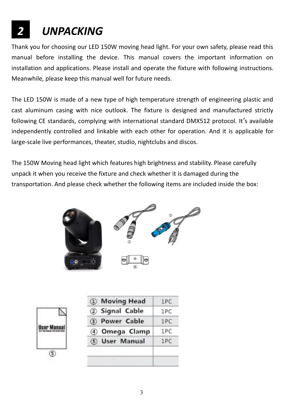# *2 UNPACKING*

Thank you for choosing our LED 150W moving head light. For your own safety, please read this manual before installing the device. This manual covers the important information on installation and applications. Please install and operate the fixture with following instructions. Meanwhile, please keep this manual well for future needs.

The LED 150W is made of a new type of high temperature strength of engineering plastic and cast aluminum casing with nice outlook. The fixture is designed and manufactured strictly following CE standards, complying with international standard DMX512 protocol. It's available independently controlled and linkable with each other for operation. And it is applicable for large-scale live performances, theater, studio, nightclubs and discos.

The 150W Moving head light which features high brightness and stability. Please carefully unpack it when you receive the fixture and check whether it is damaged during the transportation. And please check whether the following items are included inside the box:



| 2 Signal Cable |     |
|----------------|-----|
|                | 1PC |
| 3) Power Cable | 1PC |
| 4 Omega Clamp  | 1PC |
| 5 User Manual  | 1PC |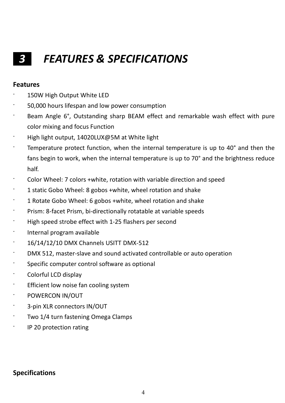### *3 FEATURES & SPECIFICATIONS*

#### **Features**

- 150W High Output White LED
- · 50,000 hours lifespan and low power consumption
- · Beam Angle 6°, Outstanding sharp BEAM effect and remarkable wash effect with pure color mixing and focus Function
- · High light output,14020LUX@5M at White light
- · Temperature protect function, when the internal temperature is up to 40° and then the fans begin to work, when the internal temperature is up to 70° and the brightness reduce half.
- · Color Wheel: 7 colors +white, rotation with variable direction and speed
- · 1 static Gobo Wheel: 8 gobos +white, wheel rotation and shake
- · 1 Rotate Gobo Wheel: 6 gobos +white, wheel rotation and shake
- · Prism: 8-facet Prism, bi-directionally rotatable at variable speeds
- High speed strobe effect with 1-25 flashers per second
- · Internal program available
- · 16/14/12/10 DMX Channels USITT DMX-512
- DMX 512, master-slave and sound activated controllable or auto operation
- Specific computer control software as optional
- · Colorful LCD display
- · Efficient low noise fan cooling system
- · POWERCON IN/OUT
- 3-pin XLR connectors IN/OUT
- Two 1/4 turn fastening Omega Clamps
- · IP 20 protection rating

#### **Specifications**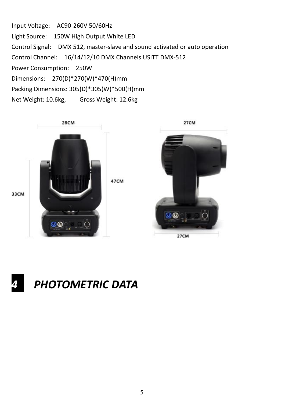Input Voltage: AC90-260V 50/60Hz Light Source: 150W High Output White LED Control Signal: DMX 512, master-slave and sound activated or auto operation Control Channel: 16/14/12/10 DMX Channels USITT DMX-512 Power Consumption: 250W Dimensions: 270(D)\*270(W)\*470(H)mm Packing Dimensions: 305(D)\*305(W)\*500(H)mm Net Weight: 10.6kg, Gross Weight: 12.6kg





*4 PHOTOMETRIC DATA*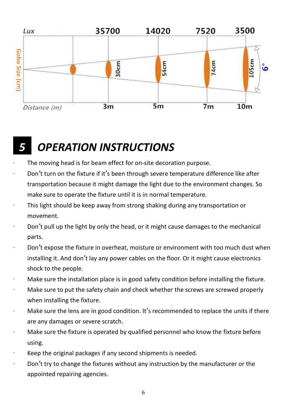

### *5 OPERATION INSTRUCTIONS*

- ∙ The moving head is for beam effect for on-site decoration purpose.
- Don't turn on the fixture if it's been through severe temperature difference like after transportation because it might damage the light due to the environment changes. So make sure to operate the fixture until it is in normal temperature.
- ∙ This light should be keep away from strong shaking during any transportation or movement.
- Don't pull up the light by only the head, or it might cause damages to the mechanical parts.
- ∙ Don't expose the fixture in overheat, moisture or environment with too much dust when installing it. And don't lay any power cables on the floor. Or it might cause electronics shock to the people.
- ∙ Make sure the installation place is in good safety condition before installing the fixture.
- ∙ Make sure to put the safety chain and check whether the screws are screwed properly when installing the fixture.
- ∙ Make sure the lens are in good condition. It's recommended to replace the units if there are any damages or severe scratch.
- ∙ Make sure the fixture is operated by qualified personnel who know the fixture before using.
- ∙ Keep the original packages if any second shipments is needed.
- ∙ Don't try to change the fixtures without any instruction by the manufacturer or the appointed repairing agencies.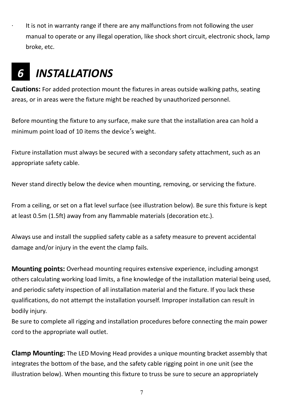∙ It is not in warranty range if there are any malfunctions from not following the user manual to operate or any illegal operation, like shock short circuit, electronic shock, lamp broke, etc.

### *6 INSTALLATIONS*

**Cautions:** For added protection mount the fixtures in areas outside walking paths, seating areas, or in areas were the fixture might be reached by unauthorized personnel.

Before mounting the fixture to any surface, make sure that the installation area can hold a minimum point load of 10 items the device's weight.

Fixture installation must always be secured with a secondary safety attachment, such as an appropriate safety cable.

Never stand directly below the device when mounting, removing, or servicing the fixture.

From a ceiling, or set on a flat level surface (see illustration below). Be sure this fixture is kept at least 0.5m (1.5ft) away from any flammable materials (decoration etc.).

Always use and install the supplied safety cable as a safety measure to prevent accidental damage and/or injury in the event the clamp fails.

**Mounting points:** Overhead mounting requires extensive experience, including amongst others calculating working load limits, a fine knowledge of the installation material being used, and periodic safety inspection of all installation material and the fixture. If you lack these qualifications, do not attempt the installation yourself. Improper installation can result in bodily injury.

Be sure to complete all rigging and installation procedures before connecting the main power cord to the appropriate wall outlet.

**Clamp Mounting:** The LED Moving Head provides a unique mounting bracket assembly that integrates the bottom of the base, and the safety cable rigging point in one unit (see the illustration below). When mounting this fixture to truss be sure to secure an appropriately

7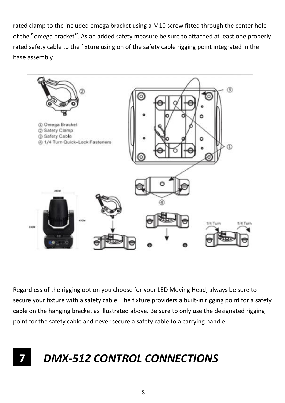rated clamp to the included omega bracket using a M10 screw fitted through the center hole of the "omega bracket". As an added safety measure be sure to attached at least one properly rated safety cable to the fixture using on of the safety cable rigging point integrated in the base assembly.



Regardless of the rigging option you choose for your LED Moving Head, always be sure to secure your fixture with a safety cable. The fixture providers a built-in rigging point for a safety cable on the hanging bracket as illustrated above. Be sure to only use the designated rigging point for the safety cable and never secure a safety cable to a carrying handle.

## **7** *DMX-512 CONTROL CONNECTIONS*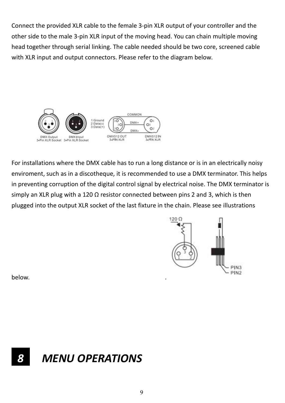Connect the provided XLR cable to the female 3-pin XLR output of your controller and the other side to the male 3-pin XLR input of the moving head. You can chain multiple moving head together through serial linking. The cable needed should be two core, screened cable with XLR input and output connectors. Please refer to the diagram below.



For installations where the DMX cable has to run a long distance or is in an electrically noisy enviroment, such as in a discotheque, it is recommended to use a DMX terminator. This helps in preventing corruption of the digital control signal by electrical noise. The DMX terminator is simply an XLR plug with a 120  $\Omega$  resistor connected between pins 2 and 3, which is then plugged into the output XLR socket of the last fixture in the chain. Please see illustrations



below. **Example 20** is the set of the set of the set of the set of the set of the set of the set of the set of the set of the set of the set of the set of the set of the set of the set of the set of the set of the set of t

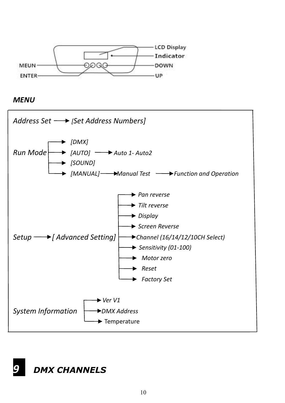

*MENU*

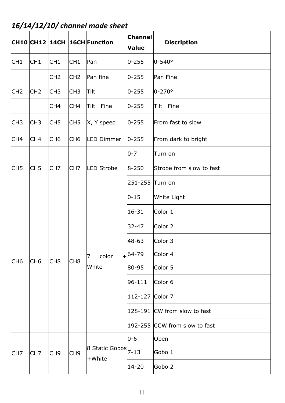*16/14/12/10/ channel mode sheet*

|                 |                 |                 |                 | CH10 CH12 14CH 16CH Function                           | <b>Channel</b><br>Value | <b>Discription</b>            |
|-----------------|-----------------|-----------------|-----------------|--------------------------------------------------------|-------------------------|-------------------------------|
| CH <sub>1</sub> | CH <sub>1</sub> | CH <sub>1</sub> | CH <sub>1</sub> | Pan                                                    | $0 - 255$               | $0 - 540^{\circ}$             |
|                 |                 | CH <sub>2</sub> | CH <sub>2</sub> | Pan fine                                               | $0 - 255$               | Pan Fine                      |
| CH <sub>2</sub> | CH <sub>2</sub> | CH3             | CH <sub>3</sub> | Tilt                                                   | $0 - 255$               | $0-270°$                      |
|                 |                 | CH <sub>4</sub> | CH <sub>4</sub> | Tilt Fine                                              | $0 - 255$               | Tilt Fine                     |
| ICH3            | CH <sub>3</sub> | CH5             | CH5             | X, Y speed                                             | $ 0 - 255 $             | From fast to slow             |
| CH <sub>4</sub> | CH4             | CH <sub>6</sub> | CH <sub>6</sub> | <b>LED Dimmer</b>                                      | $0 - 255$               | From dark to bright           |
|                 |                 |                 |                 |                                                        | $0 - 7$                 | Turn on                       |
| CH5             | CH <sub>5</sub> | CH7             | CH7             | LED Strobe                                             | $8 - 250$               | Strobe from slow to fast      |
|                 |                 |                 |                 |                                                        | 251-255                 | Turn on                       |
|                 |                 |                 |                 |                                                        | $0 - 15$                | White Light                   |
|                 |                 |                 |                 |                                                        | 16-31                   | Color 1                       |
|                 |                 |                 |                 |                                                        | 32-47                   | Color 2                       |
|                 |                 |                 |                 |                                                        | 48-63                   | Color 3                       |
|                 | CH <sub>6</sub> | CH <sub>8</sub> | CH <sub>8</sub> | color<br>7                                             | $+$ 64-79               | Color 4                       |
| CH <sub>6</sub> |                 |                 |                 | White                                                  | 80-95                   | Color 5                       |
|                 |                 |                 |                 |                                                        | 96-111                  | Color 6                       |
|                 |                 |                 |                 |                                                        | 112-127                 | Color 7                       |
|                 |                 |                 |                 |                                                        |                         | 128-191 CW from slow to fast  |
|                 |                 |                 |                 |                                                        |                         | 192-255 CCW from slow to fast |
|                 |                 |                 |                 |                                                        | $0 - 6$                 | Open                          |
| CH <sub>7</sub> | CH <sub>7</sub> | CH9             | CH <sub>9</sub> | $\vert$ 8 Static Gobos $\vert_{7\text{-}13}$<br>+White |                         | Gobo 1                        |
|                 |                 |                 |                 |                                                        | 14-20                   | Gobo 2                        |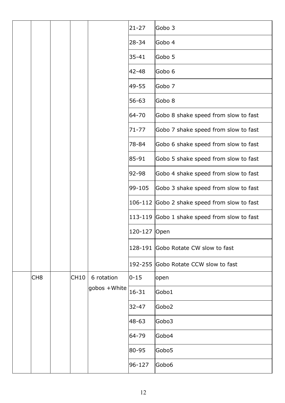|  |                 |  |                  |                                      | 21-27                                | Gobo 3                                       |
|--|-----------------|--|------------------|--------------------------------------|--------------------------------------|----------------------------------------------|
|  |                 |  |                  |                                      | 28-34                                | Gobo 4                                       |
|  |                 |  |                  |                                      | 35-41                                | Gobo 5                                       |
|  |                 |  |                  |                                      | 42-48                                | Gobo 6                                       |
|  |                 |  |                  |                                      | 49-55                                | Gobo 7                                       |
|  |                 |  |                  |                                      | 56-63                                | Gobo 8                                       |
|  |                 |  |                  |                                      | 64-70                                | Gobo 8 shake speed from slow to fast         |
|  |                 |  |                  |                                      | $71 - 77$                            | Gobo 7 shake speed from slow to fast         |
|  |                 |  |                  |                                      | 78-84                                | Gobo 6 shake speed from slow to fast         |
|  |                 |  |                  |                                      | 85-91                                | Gobo 5 shake speed from slow to fast         |
|  |                 |  | 92-98            | Gobo 4 shake speed from slow to fast |                                      |                                              |
|  |                 |  |                  | 99-105                               | Gobo 3 shake speed from slow to fast |                                              |
|  |                 |  |                  |                                      |                                      | 106-112 Gobo 2 shake speed from slow to fast |
|  |                 |  |                  |                                      |                                      | 113-119 Gobo 1 shake speed from slow to fast |
|  |                 |  |                  |                                      | 120-127 Open                         |                                              |
|  |                 |  |                  |                                      |                                      | 128-191 Gobo Rotate CW slow to fast          |
|  |                 |  |                  |                                      |                                      | 192-255 Gobo Rotate CCW slow to fast         |
|  | CH <sub>8</sub> |  | CH <sub>10</sub> | 6 rotation                           | $ 0 - 15 $                           | open                                         |
|  |                 |  |                  | gobos +White                         | $16 - 31$                            | Gobo1                                        |
|  |                 |  |                  | 32-47                                | Gobo <sub>2</sub>                    |                                              |
|  |                 |  |                  |                                      | 48-63                                | Gobo3                                        |
|  |                 |  |                  |                                      | 64-79                                | Gobo4                                        |
|  |                 |  |                  |                                      | 80-95                                | Gobo5                                        |
|  |                 |  |                  |                                      | 96-127                               | Gobo6                                        |
|  |                 |  |                  |                                      |                                      |                                              |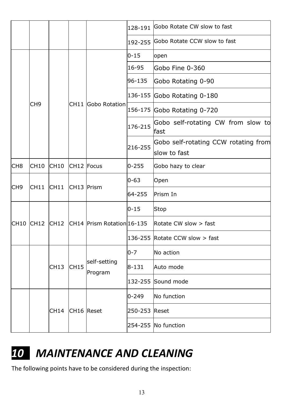|                 |      |                 |                        |                                                      | 128-191                     | Gobo Rotate CW slow to fast                |  |
|-----------------|------|-----------------|------------------------|------------------------------------------------------|-----------------------------|--------------------------------------------|--|
|                 |      |                 |                        |                                                      | 192-255                     | Gobo Rotate CCW slow to fast               |  |
|                 |      |                 |                        | $ 0 - 15 $                                           | open                        |                                            |  |
|                 |      |                 |                        |                                                      | 16-95                       | Gobo Fine 0-360                            |  |
|                 |      |                 |                        |                                                      | 96-135                      | Gobo Rotating 0-90                         |  |
|                 | CH9  |                 | CH11 Gobo Rotation     |                                                      | 136-155 Gobo Rotating 0-180 |                                            |  |
|                 |      |                 |                        |                                                      | 156-175 Gobo Rotating 0-720 |                                            |  |
|                 |      |                 |                        |                                                      | 176-215                     | Gobo self-rotating CW from slow to<br>fast |  |
|                 |      |                 | 216-255                | Gobo self-rotating CCW rotating from<br>slow to fast |                             |                                            |  |
| CH <sub>8</sub> | CH10 | CH10            |                        | CH12 Focus                                           | $0 - 255$                   | Gobo hazy to clear                         |  |
| CH <sub>9</sub> |      | CH11            | CH <sub>13</sub> Prism |                                                      | $ 0 - 63 $                  | Open                                       |  |
|                 | CH11 |                 |                        |                                                      | 64-255                      | Prism In                                   |  |
|                 |      |                 |                        | CH10 CH12 CH12 CH14 Prism Rotation 16-135            | $0 - 15$                    | Stop                                       |  |
|                 |      |                 |                        |                                                      |                             | Rotate CW slow > fast                      |  |
|                 |      |                 |                        |                                                      |                             | 136-255 Rotate CCW slow $>$ fast           |  |
|                 |      |                 |                        |                                                      | $0 - 7$                     | No action                                  |  |
|                 |      | CH13            | CH15                   | self-setting<br>Program                              | $8 - 131$                   | Auto mode                                  |  |
|                 |      |                 |                        |                                                      |                             | 132-255 Sound mode                         |  |
|                 |      |                 |                        |                                                      | $ 0 - 249 $                 | No function                                |  |
|                 |      | CH14 CH16 Reset |                        |                                                      | 250-253 Reset               |                                            |  |
|                 |      |                 |                        |                                                      |                             | 254-255 No function                        |  |
|                 |      |                 |                        |                                                      |                             |                                            |  |

### *10 MAINTENANCE AND CLEANING*

The following points have to be considered during the inspection: